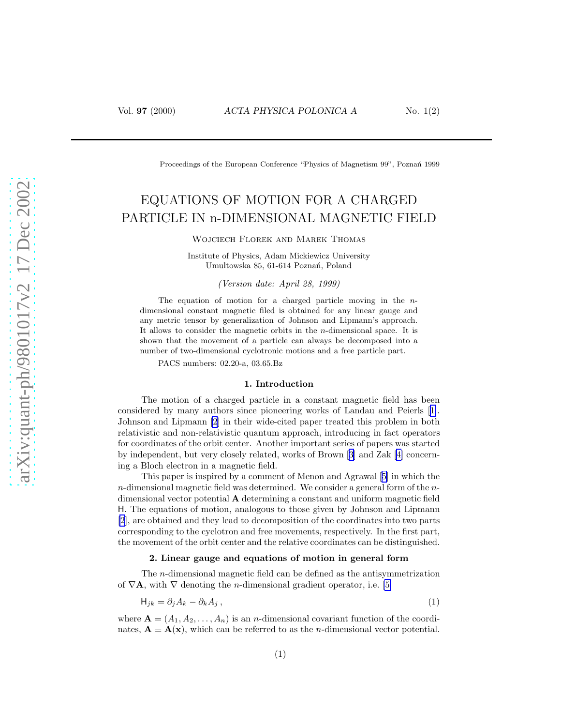<span id="page-0-0"></span>

Proceedings of the European Conference "Physics of Magnetism 99", Poznań 1999

# EQUATIONS OF MOTION FOR A CHARGED PARTICLE IN n-DIMENSIONAL MAGNETIC FIELD

Wojciech Florek and Marek Thomas

Institute of Physics, Adam Mickiewicz University Umultowska 85, 61-614 Poznań, Poland

(Version date: April 28, 1999)

The equation of motion for a charged particle moving in the  $n$ dimensional constant magnetic filed is obtained for any linear gauge and any metric tensor by generalization of Johnson and Lipmann's approach. It allows to consider the magnetic orbits in the  $n$ -dimensional space. It is shown that the movement of a particle can always be decomposed into a number of two-dimensional cyclotronic motions and a free particle part.

PACS numbers: 02.20-a, 03.65.Bz

#### 1. Introduction

The motion of a charged particle in a constant magnetic field has been considered by many authors since pioneering works of Landau and Peierls[[1\]](#page-3-0). Johnson and Lipmann [\[2](#page-3-0)] in their wide-cited paper treated this problem in both relativistic and non-relativistic quantum approach, introducing in fact operators for coordinates of the orbit center. Another important series of papers was started by independent, but very closely related, works of Brown[[3](#page-3-0)] and Zak[[4\]](#page-3-0) concerning a Bloch electron in a magnetic field.

This paper is inspired by a comment of Menon and Agrawal[[5\]](#page-3-0) in which the  $n$ -dimensional magnetic field was determined. We consider a general form of the  $n$ dimensional vector potential  $\bf{A}$  determining a constant and uniform magnetic field H. The equations of motion, analogous to those given by Johnson and Lipmann [\[2](#page-3-0)], are obtained and they lead to decomposition of the coordinates into two parts corresponding to the cyclotron and free movements, respectively. In the first part, the movement of the orbit center and the relative coordinates can be distinguished.

### 2. Linear gauge and equations of motion in general form

The n-dimensional magnetic field can be defined as the antisymmetrization of  $\nabla$ **A**, with  $\nabla$  denoting the *n*-dimensional gradient operator, i.e. [\[5\]](#page-3-0)

$$
H_{jk} = \partial_j A_k - \partial_k A_j, \qquad (1)
$$

where  $\mathbf{A} = (A_1, A_2, \ldots, A_n)$  is an *n*-dimensional covariant function of the coordinates,  $\mathbf{A} \equiv \mathbf{A}(\mathbf{x})$ , which can be referred to as the *n*-dimensional vector potential.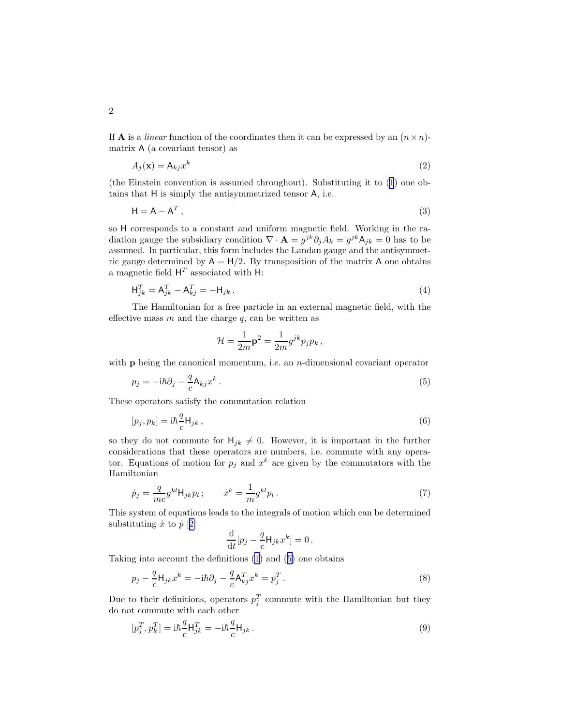<span id="page-1-0"></span>If **A** is a *linear* function of the coordinates then it can be expressed by an  $(n \times n)$ matrix A (a covariant tensor) as

$$
A_j(\mathbf{x}) = \mathsf{A}_{kj} x^k \tag{2}
$$

(the Einstein convention is assumed throughout). Substituting it to [\(1](#page-0-0)) one obtains that H is simply the antisymmetrized tensor A, i.e.

$$
H = A - A^T,
$$
\n(3)

so H corresponds to a constant and uniform magnetic field. Working in the radiation gauge the subsidiary condition  $\nabla \cdot \mathbf{A} = g^{jk} \partial_j A_k = g^{jk} A_{jk} = 0$  has to be assumed. In particular, this form includes the Landau gauge and the antisymmetric gauge determined by  $A = H/2$ . By transposition of the matrix A one obtains a magnetic field  $H<sup>T</sup>$  associated with H:

$$
\mathsf{H}_{jk}^T = \mathsf{A}_{jk}^T - \mathsf{A}_{kj}^T = -\mathsf{H}_{jk} \,. \tag{4}
$$

The Hamiltonian for a free particle in an external magnetic field, with the effective mass  $m$  and the charge  $q$ , can be written as

$$
\mathcal{H} = \frac{1}{2m} \mathbf{p}^2 = \frac{1}{2m} g^{jk} p_j p_k ,
$$

with  $p$  being the canonical momentum, i.e. an *n*-dimensional covariant operator

$$
p_j = -i\hbar \partial_j - \frac{q}{c} A_{kj} x^k. \tag{5}
$$

These operators satisfy the commutation relation

$$
[p_j, p_k] = \mathrm{i}\hbar \frac{q}{c} \mathsf{H}_{jk} \,, \tag{6}
$$

so they do not commute for  $H_{jk} \neq 0$ . However, it is important in the further considerations that these operators are numbers, i.e. commute with any operator. Equations of motion for  $p_j$  and  $x^k$  are given by the commutators with the Hamiltonian

$$
\dot{p}_j = \frac{q}{mc} g^{kl} \mathsf{H}_{jk} p_l \, ; \qquad \dot{x}^k = \frac{1}{m} g^{kl} p_l \, . \tag{7}
$$

This system of equations leads to the integrals of motion which can be determined substituting  $\dot{x}$  to  $\dot{p}$  [[2\]](#page-3-0)

$$
\frac{\mathrm{d}}{\mathrm{d}t}[p_j - \frac{q}{c} \mathsf{H}_{jk} x^k] = 0.
$$

Taking into account the definitions [\(1](#page-0-0)) and (5) one obtains

$$
p_j - \frac{q}{c} \mathsf{H}_{jk} x^k = -i\hbar \partial_j - \frac{q}{c} \mathsf{A}_{kj}^T x^k = p_j^T.
$$
\n
$$
(8)
$$

Due to their definitions, operators  $p_j^T$  commute with the Hamiltonian but they do not commute with each other

$$
[p_j^T, p_k^T] = \mathrm{i}\hbar \frac{q}{c} \mathsf{H}_{jk}^T = -\mathrm{i}\hbar \frac{q}{c} \mathsf{H}_{jk} \,. \tag{9}
$$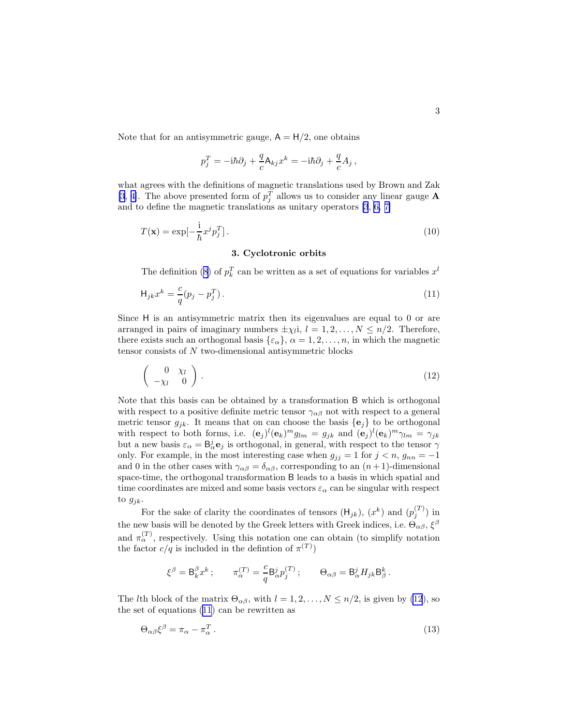<span id="page-2-0"></span>Note that for an antisymmetric gauge,  $A = H/2$ , one obtains

$$
p_j^T = -i\hbar\partial_j + \frac{q}{c}\mathsf{A}_{kj}x^k = -i\hbar\partial_j + \frac{q}{c}A_j,
$$

what agrees with the definitions of magnetic translations used by Brown and Zak [\[3](#page-3-0), [4\]](#page-3-0). The above presented form of  $p_j^T$  allows us to consider any linear gauge **A** and to define the magnetic translations as unitary operators [\[3](#page-3-0), [6,](#page-3-0) [7\]](#page-3-0)

$$
T(\mathbf{x}) = \exp[-\frac{\mathrm{i}}{\hbar}x^j p_j^T].
$$
\n(10)

## 3. Cyclotronic orbits

The definition [\(8](#page-1-0)) of  $p_k^T$  can be written as a set of equations for variables  $x^l$ 

$$
\mathsf{H}_{jk}x^k = \frac{c}{q}(p_j - p_j^T). \tag{11}
$$

Since H is an antisymmetric matrix then its eigenvalues are equal to 0 or are arranged in pairs of imaginary numbers  $\pm \chi_l i$ ,  $l = 1, 2, ..., N \leq n/2$ . Therefore, there exists such an orthogonal basis  $\{\varepsilon_{\alpha}\}, \alpha = 1, 2, \ldots, n$ , in which the magnetic tensor consists of N two-dimensional antisymmetric blocks

$$
\left(\begin{array}{cc} 0 & \chi_l \\ -\chi_l & 0 \end{array}\right). \tag{12}
$$

Note that this basis can be obtained by a transformation B which is orthogonal with respect to a positive definite metric tensor  $\gamma_{\alpha\beta}$  not with respect to a general metric tensor  $g_{ik}$ . It means that on can choose the basis  $\{e_i\}$  to be orthogonal with respect to both forms, i.e.  $(\mathbf{e}_j)^l (\mathbf{e}_k)^m g_{lm} = g_{jk}$  and  $(\mathbf{e}_j)^l (\mathbf{e}_k)^m \gamma_{lm} = \gamma_{jk}$ but a new basis  $\varepsilon_{\alpha} = \mathsf{B}_{\alpha}^{j} \mathbf{e}_{j}$  is orthogonal, in general, with respect to the tensor  $\gamma$ only. For example, in the most interesting case when  $g_{jj} = 1$  for  $j < n$ ,  $g_{nn} = -1$ and 0 in the other cases with  $\gamma_{\alpha\beta} = \delta_{\alpha\beta}$ , corresponding to an  $(n+1)$ -dimensional space-time, the orthogonal transformation B leads to a basis in which spatial and time coordinates are mixed and some basis vectors  $\varepsilon_{\alpha}$  can be singular with respect to  $g_{jk}$ .

For the sake of clarity the coordinates of tensors  $(\mathsf{H}_{jk})$ ,  $(x^k)$  and  $(p_j^{(T)})$  in the new basis will be denoted by the Greek letters with Greek indices, i.e.  $\Theta_{\alpha\beta}$ ,  $\xi^{\beta}$ and  $\pi_\alpha^{(T)}$ , respectively. Using this notation one can obtain (to simplify notation the factor  $c/q$  is included in the defintion of  $\pi^{(T)}$ )

$$
\xi^\beta = \mathsf B^\beta_k x^k \, ; \qquad \pi_\alpha^{(T)} = \frac{c}{q} \mathsf B^j_\alpha p_j^{(T)} \, ; \qquad \Theta_{\alpha\beta} = \mathsf B^j_\alpha H_{jk} \mathsf B^k_\beta \, .
$$

The *l*th block of the matrix  $\Theta_{\alpha\beta}$ , with  $l = 1, 2, ..., N \leq n/2$ , is given by (12), so the set of equations (11) can be rewritten as

$$
\Theta_{\alpha\beta}\xi^{\beta} = \pi_{\alpha} - \pi_{\alpha}^{T} \,. \tag{13}
$$